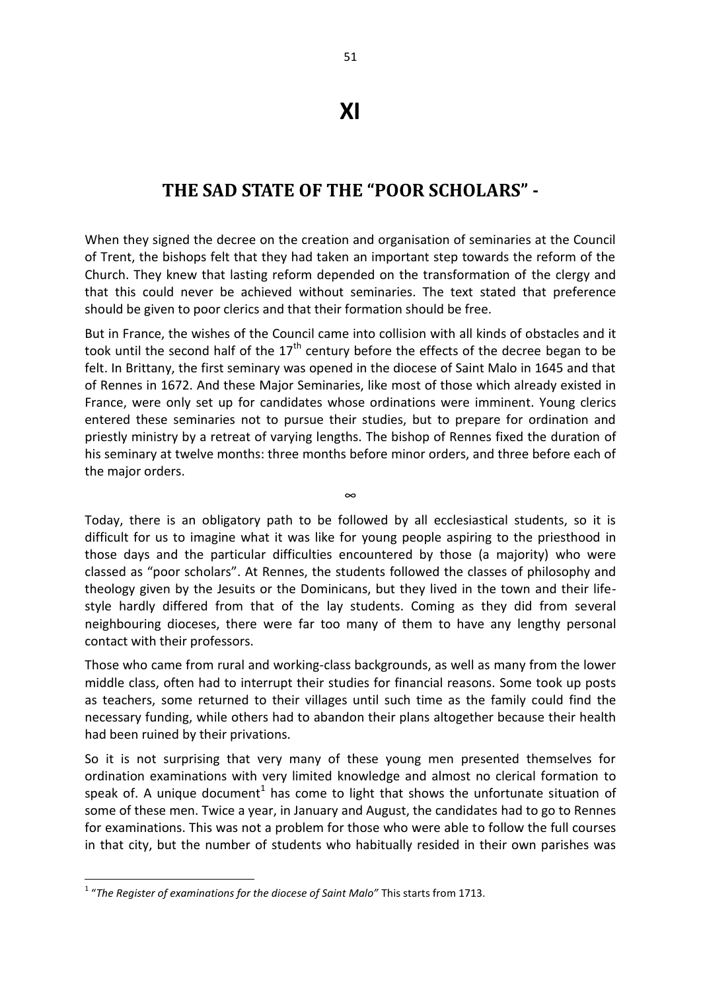## **XI**

## **THE SAD STATE OF THE "POOR SCHOLARS" -**

When they signed the decree on the creation and organisation of seminaries at the Council of Trent, the bishops felt that they had taken an important step towards the reform of the Church. They knew that lasting reform depended on the transformation of the clergy and that this could never be achieved without seminaries. The text stated that preference should be given to poor clerics and that their formation should be free.

But in France, the wishes of the Council came into collision with all kinds of obstacles and it took until the second half of the  $17<sup>th</sup>$  century before the effects of the decree began to be felt. In Brittany, the first seminary was opened in the diocese of Saint Malo in 1645 and that of Rennes in 1672. And these Major Seminaries, like most of those which already existed in France, were only set up for candidates whose ordinations were imminent. Young clerics entered these seminaries not to pursue their studies, but to prepare for ordination and priestly ministry by a retreat of varying lengths. The bishop of Rennes fixed the duration of his seminary at twelve months: three months before minor orders, and three before each of the major orders.

Today, there is an obligatory path to be followed by all ecclesiastical students, so it is difficult for us to imagine what it was like for young people aspiring to the priesthood in those days and the particular difficulties encountered by those (a majority) who were classed as "poor scholars". At Rennes, the students followed the classes of philosophy and theology given by the Jesuits or the Dominicans, but they lived in the town and their lifestyle hardly differed from that of the lay students. Coming as they did from several neighbouring dioceses, there were far too many of them to have any lengthy personal contact with their professors.

∞

Those who came from rural and working-class backgrounds, as well as many from the lower middle class, often had to interrupt their studies for financial reasons. Some took up posts as teachers, some returned to their villages until such time as the family could find the necessary funding, while others had to abandon their plans altogether because their health had been ruined by their privations.

So it is not surprising that very many of these young men presented themselves for ordination examinations with very limited knowledge and almost no clerical formation to speak of. A unique document<sup>1</sup> has come to light that shows the unfortunate situation of some of these men. Twice a year, in January and August, the candidates had to go to Rennes for examinations. This was not a problem for those who were able to follow the full courses in that city, but the number of students who habitually resided in their own parishes was

**.** 

<sup>&</sup>lt;sup>1</sup> "The Register of examinations for the diocese of Saint Malo" This starts from 1713.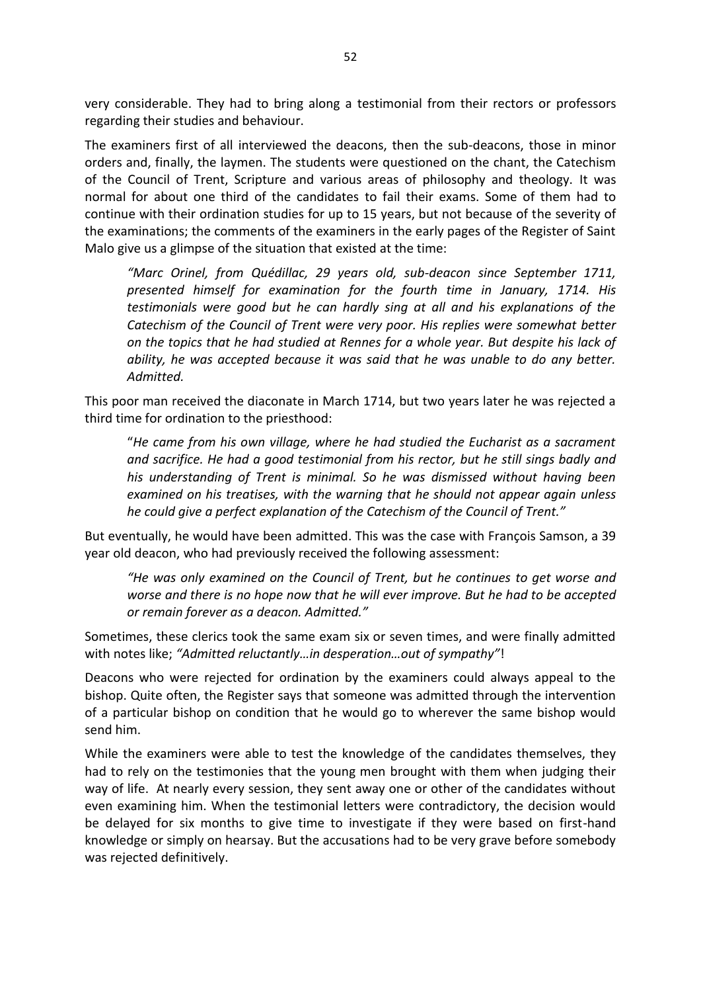very considerable. They had to bring along a testimonial from their rectors or professors regarding their studies and behaviour.

The examiners first of all interviewed the deacons, then the sub-deacons, those in minor orders and, finally, the laymen. The students were questioned on the chant, the Catechism of the Council of Trent, Scripture and various areas of philosophy and theology. It was normal for about one third of the candidates to fail their exams. Some of them had to continue with their ordination studies for up to 15 years, but not because of the severity of the examinations; the comments of the examiners in the early pages of the Register of Saint Malo give us a glimpse of the situation that existed at the time:

*"Marc Orinel, from Quédillac, 29 years old, sub-deacon since September 1711, presented himself for examination for the fourth time in January, 1714. His testimonials were good but he can hardly sing at all and his explanations of the Catechism of the Council of Trent were very poor. His replies were somewhat better on the topics that he had studied at Rennes for a whole year. But despite his lack of ability, he was accepted because it was said that he was unable to do any better. Admitted.*

This poor man received the diaconate in March 1714, but two years later he was rejected a third time for ordination to the priesthood:

"*He came from his own village, where he had studied the Eucharist as a sacrament and sacrifice. He had a good testimonial from his rector, but he still sings badly and his understanding of Trent is minimal. So he was dismissed without having been examined on his treatises, with the warning that he should not appear again unless he could give a perfect explanation of the Catechism of the Council of Trent."*

But eventually, he would have been admitted. This was the case with François Samson, a 39 year old deacon, who had previously received the following assessment:

*"He was only examined on the Council of Trent, but he continues to get worse and worse and there is no hope now that he will ever improve. But he had to be accepted or remain forever as a deacon. Admitted."*

Sometimes, these clerics took the same exam six or seven times, and were finally admitted with notes like; *"Admitted reluctantly…in desperation…out of sympathy"*!

Deacons who were rejected for ordination by the examiners could always appeal to the bishop. Quite often, the Register says that someone was admitted through the intervention of a particular bishop on condition that he would go to wherever the same bishop would send him.

While the examiners were able to test the knowledge of the candidates themselves, they had to rely on the testimonies that the young men brought with them when judging their way of life. At nearly every session, they sent away one or other of the candidates without even examining him. When the testimonial letters were contradictory, the decision would be delayed for six months to give time to investigate if they were based on first-hand knowledge or simply on hearsay. But the accusations had to be very grave before somebody was rejected definitively.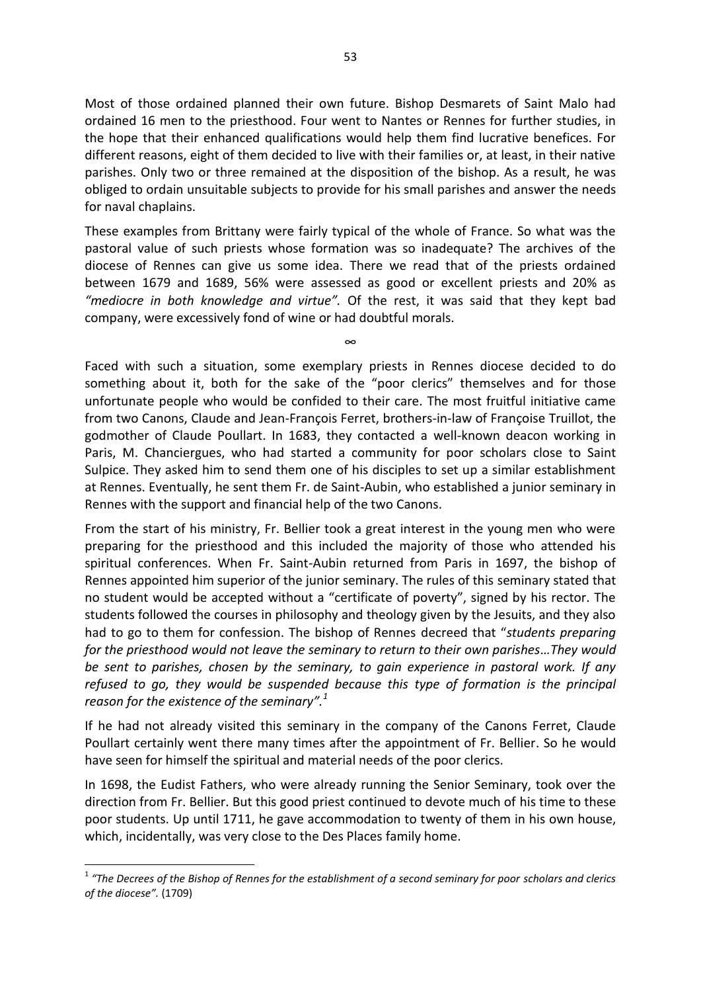Most of those ordained planned their own future. Bishop Desmarets of Saint Malo had ordained 16 men to the priesthood. Four went to Nantes or Rennes for further studies, in the hope that their enhanced qualifications would help them find lucrative benefices. For different reasons, eight of them decided to live with their families or, at least, in their native parishes. Only two or three remained at the disposition of the bishop. As a result, he was obliged to ordain unsuitable subjects to provide for his small parishes and answer the needs for naval chaplains.

These examples from Brittany were fairly typical of the whole of France. So what was the pastoral value of such priests whose formation was so inadequate? The archives of the diocese of Rennes can give us some idea. There we read that of the priests ordained between 1679 and 1689, 56% were assessed as good or excellent priests and 20% as *"mediocre in both knowledge and virtue".* Of the rest, it was said that they kept bad company, were excessively fond of wine or had doubtful morals.

∞

Faced with such a situation, some exemplary priests in Rennes diocese decided to do something about it, both for the sake of the "poor clerics" themselves and for those unfortunate people who would be confided to their care. The most fruitful initiative came from two Canons, Claude and Jean-François Ferret, brothers-in-law of Françoise Truillot, the godmother of Claude Poullart. In 1683, they contacted a well-known deacon working in Paris, M. Chanciergues, who had started a community for poor scholars close to Saint Sulpice. They asked him to send them one of his disciples to set up a similar establishment at Rennes. Eventually, he sent them Fr. de Saint-Aubin, who established a junior seminary in Rennes with the support and financial help of the two Canons.

From the start of his ministry, Fr. Bellier took a great interest in the young men who were preparing for the priesthood and this included the majority of those who attended his spiritual conferences. When Fr. Saint-Aubin returned from Paris in 1697, the bishop of Rennes appointed him superior of the junior seminary. The rules of this seminary stated that no student would be accepted without a "certificate of poverty", signed by his rector. The students followed the courses in philosophy and theology given by the Jesuits, and they also had to go to them for confession. The bishop of Rennes decreed that "*students preparing for the priesthood would not leave the seminary to return to their own parishes…They would be sent to parishes, chosen by the seminary, to gain experience in pastoral work. If any refused to go, they would be suspended because this type of formation is the principal reason for the existence of the seminary".<sup>1</sup>*

If he had not already visited this seminary in the company of the Canons Ferret, Claude Poullart certainly went there many times after the appointment of Fr. Bellier. So he would have seen for himself the spiritual and material needs of the poor clerics.

In 1698, the Eudist Fathers, who were already running the Senior Seminary, took over the direction from Fr. Bellier. But this good priest continued to devote much of his time to these poor students. Up until 1711, he gave accommodation to twenty of them in his own house, which, incidentally, was very close to the Des Places family home.

**.** 

<sup>&</sup>lt;sup>1</sup> "The Decrees of the Bishop of Rennes for the establishment of a second seminary for poor scholars and clerics *of the diocese".* (1709)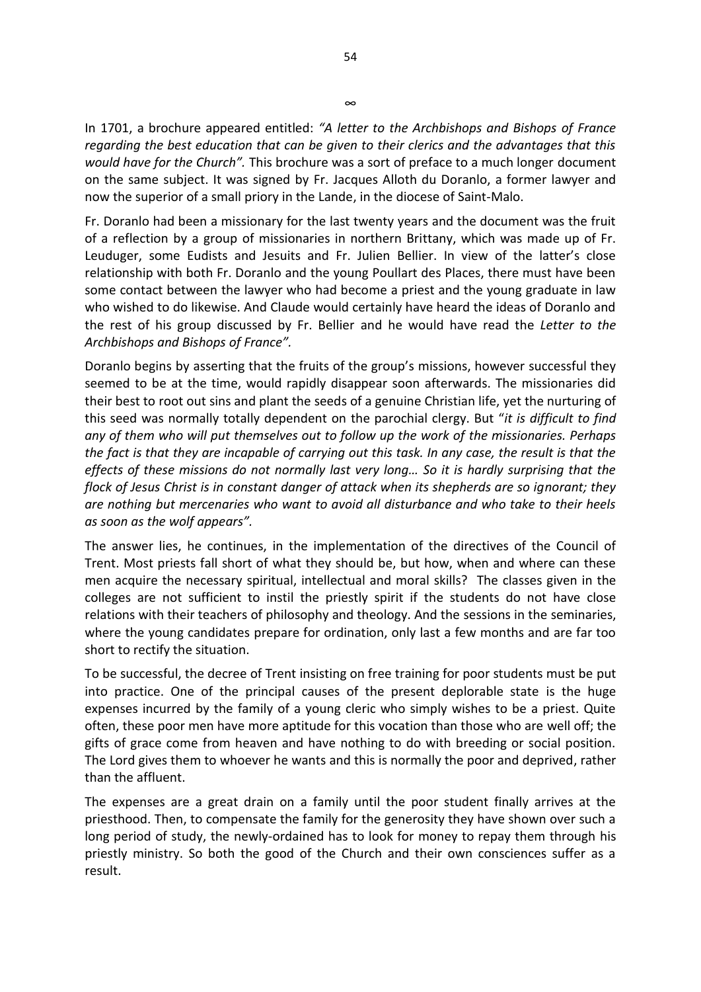In 1701, a brochure appeared entitled: *"A letter to the Archbishops and Bishops of France regarding the best education that can be given to their clerics and the advantages that this would have for the Church".* This brochure was a sort of preface to a much longer document on the same subject. It was signed by Fr. Jacques Alloth du Doranlo, a former lawyer and now the superior of a small priory in the Lande, in the diocese of Saint-Malo.

Fr. Doranlo had been a missionary for the last twenty years and the document was the fruit of a reflection by a group of missionaries in northern Brittany, which was made up of Fr. Leuduger, some Eudists and Jesuits and Fr. Julien Bellier. In view of the latter's close relationship with both Fr. Doranlo and the young Poullart des Places, there must have been some contact between the lawyer who had become a priest and the young graduate in law who wished to do likewise. And Claude would certainly have heard the ideas of Doranlo and the rest of his group discussed by Fr. Bellier and he would have read the *Letter to the Archbishops and Bishops of France".* 

Doranlo begins by asserting that the fruits of the group's missions, however successful they seemed to be at the time, would rapidly disappear soon afterwards. The missionaries did their best to root out sins and plant the seeds of a genuine Christian life, yet the nurturing of this seed was normally totally dependent on the parochial clergy. But "*it is difficult to find any of them who will put themselves out to follow up the work of the missionaries. Perhaps the fact is that they are incapable of carrying out this task. In any case, the result is that the effects of these missions do not normally last very long… So it is hardly surprising that the flock of Jesus Christ is in constant danger of attack when its shepherds are so ignorant; they are nothing but mercenaries who want to avoid all disturbance and who take to their heels as soon as the wolf appears".* 

The answer lies, he continues, in the implementation of the directives of the Council of Trent. Most priests fall short of what they should be, but how, when and where can these men acquire the necessary spiritual, intellectual and moral skills? The classes given in the colleges are not sufficient to instil the priestly spirit if the students do not have close relations with their teachers of philosophy and theology. And the sessions in the seminaries, where the young candidates prepare for ordination, only last a few months and are far too short to rectify the situation.

To be successful, the decree of Trent insisting on free training for poor students must be put into practice. One of the principal causes of the present deplorable state is the huge expenses incurred by the family of a young cleric who simply wishes to be a priest. Quite often, these poor men have more aptitude for this vocation than those who are well off; the gifts of grace come from heaven and have nothing to do with breeding or social position. The Lord gives them to whoever he wants and this is normally the poor and deprived, rather than the affluent.

The expenses are a great drain on a family until the poor student finally arrives at the priesthood. Then, to compensate the family for the generosity they have shown over such a long period of study, the newly-ordained has to look for money to repay them through his priestly ministry. So both the good of the Church and their own consciences suffer as a result.

∞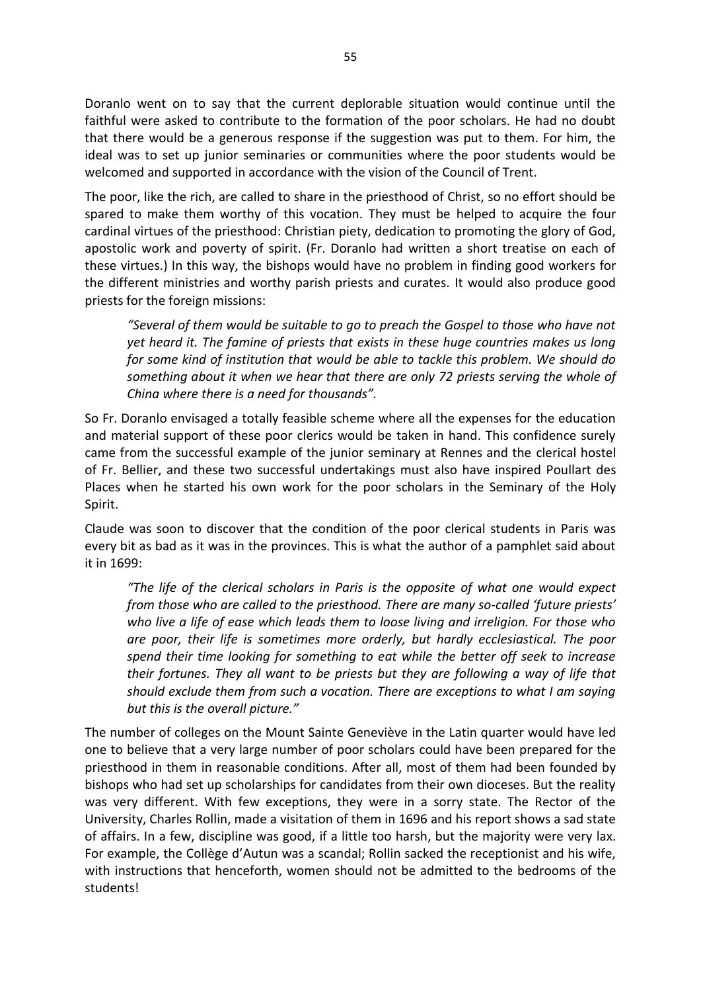Doranlo went on to say that the current deplorable situation would continue until the faithful were asked to contribute to the formation of the poor scholars. He had no doubt that there would be a generous response if the suggestion was put to them. For him, the ideal was to set up junior seminaries or communities where the poor students would be welcomed and supported in accordance with the vision of the Council of Trent.

The poor, like the rich, are called to share in the priesthood of Christ, so no effort should be spared to make them worthy of this vocation. They must be helped to acquire the four cardinal virtues of the priesthood: Christian piety, dedication to promoting the glory of God, apostolic work and poverty of spirit. (Fr. Doranlo had written a short treatise on each of these virtues.) In this way, the bishops would have no problem in finding good workers for the different ministries and worthy parish priests and curates. It would also produce good priests for the foreign missions:

*"Several of them would be suitable to go to preach the Gospel to those who have not yet heard it. The famine of priests that exists in these huge countries makes us long for some kind of institution that would be able to tackle this problem. We should do something about it when we hear that there are only 72 priests serving the whole of China where there is a need for thousands".* 

So Fr. Doranlo envisaged a totally feasible scheme where all the expenses for the education and material support of these poor clerics would be taken in hand. This confidence surely came from the successful example of the junior seminary at Rennes and the clerical hostel of Fr. Bellier, and these two successful undertakings must also have inspired Poullart des Places when he started his own work for the poor scholars in the Seminary of the Holy Spirit.

Claude was soon to discover that the condition of the poor clerical students in Paris was every bit as bad as it was in the provinces. This is what the author of a pamphlet said about it in 1699:

*"The life of the clerical scholars in Paris is the opposite of what one would expect from those who are called to the priesthood. There are many so-called 'future priests' who live a life of ease which leads them to loose living and irreligion. For those who are poor, their life is sometimes more orderly, but hardly ecclesiastical. The poor spend their time looking for something to eat while the better off seek to increase their fortunes. They all want to be priests but they are following a way of life that should exclude them from such a vocation. There are exceptions to what I am saying but this is the overall picture."*

The number of colleges on the Mount Sainte Geneviève in the Latin quarter would have led one to believe that a very large number of poor scholars could have been prepared for the priesthood in them in reasonable conditions. After all, most of them had been founded by bishops who had set up scholarships for candidates from their own dioceses. But the reality was very different. With few exceptions, they were in a sorry state. The Rector of the University, Charles Rollin, made a visitation of them in 1696 and his report shows a sad state of affairs. In a few, discipline was good, if a little too harsh, but the majority were very lax. For example, the Collège d'Autun was a scandal; Rollin sacked the receptionist and his wife, with instructions that henceforth, women should not be admitted to the bedrooms of the students!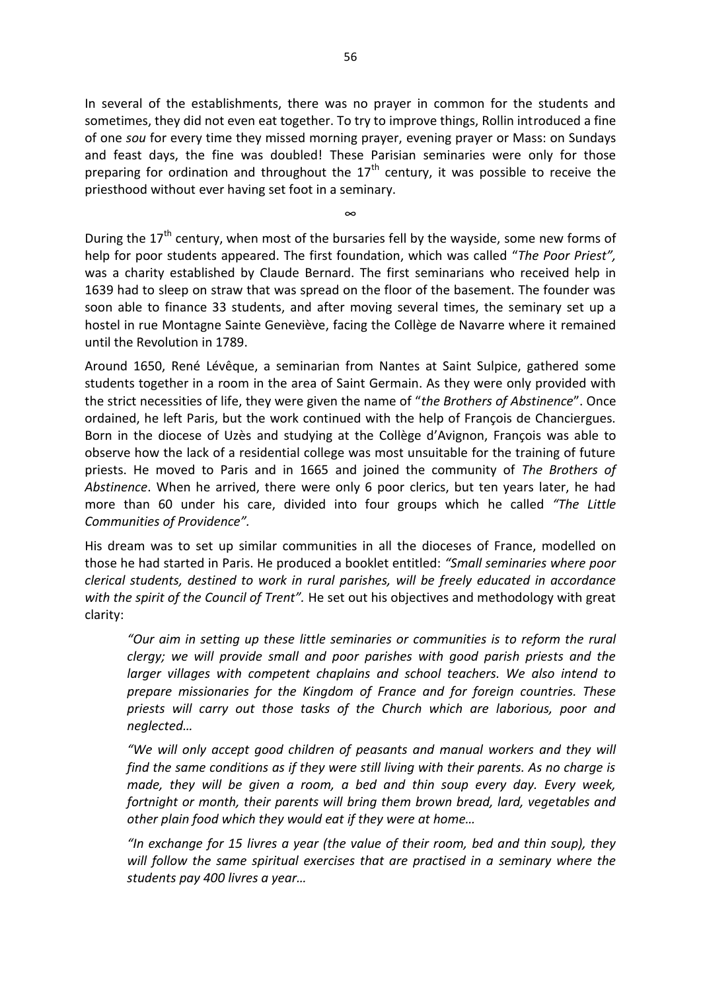In several of the establishments, there was no prayer in common for the students and sometimes, they did not even eat together. To try to improve things, Rollin introduced a fine of one *sou* for every time they missed morning prayer, evening prayer or Mass: on Sundays and feast days, the fine was doubled! These Parisian seminaries were only for those preparing for ordination and throughout the  $17<sup>th</sup>$  century, it was possible to receive the priesthood without ever having set foot in a seminary.

∞

During the  $17<sup>th</sup>$  century, when most of the bursaries fell by the wayside, some new forms of help for poor students appeared. The first foundation, which was called "*The Poor Priest",*  was a charity established by Claude Bernard. The first seminarians who received help in 1639 had to sleep on straw that was spread on the floor of the basement. The founder was soon able to finance 33 students, and after moving several times, the seminary set up a hostel in rue Montagne Sainte Geneviève, facing the Collège de Navarre where it remained until the Revolution in 1789.

Around 1650, René Lévêque, a seminarian from Nantes at Saint Sulpice, gathered some students together in a room in the area of Saint Germain. As they were only provided with the strict necessities of life, they were given the name of "*the Brothers of Abstinence*". Once ordained, he left Paris, but the work continued with the help of François de Chanciergues. Born in the diocese of Uzès and studying at the Collège d'Avignon, François was able to observe how the lack of a residential college was most unsuitable for the training of future priests. He moved to Paris and in 1665 and joined the community of *The Brothers of Abstinence*. When he arrived, there were only 6 poor clerics, but ten years later, he had more than 60 under his care, divided into four groups which he called *"The Little Communities of Providence".* 

His dream was to set up similar communities in all the dioceses of France, modelled on those he had started in Paris. He produced a booklet entitled: *"Small seminaries where poor clerical students, destined to work in rural parishes, will be freely educated in accordance with the spirit of the Council of Trent".* He set out his objectives and methodology with great clarity:

*"Our aim in setting up these little seminaries or communities is to reform the rural clergy; we will provide small and poor parishes with good parish priests and the larger villages with competent chaplains and school teachers. We also intend to prepare missionaries for the Kingdom of France and for foreign countries. These priests will carry out those tasks of the Church which are laborious, poor and neglected…* 

*"We will only accept good children of peasants and manual workers and they will find the same conditions as if they were still living with their parents. As no charge is made, they will be given a room, a bed and thin soup every day. Every week, fortnight or month, their parents will bring them brown bread, lard, vegetables and other plain food which they would eat if they were at home…*

*"In exchange for 15 livres a year (the value of their room, bed and thin soup), they will follow the same spiritual exercises that are practised in a seminary where the students pay 400 livres a year…*